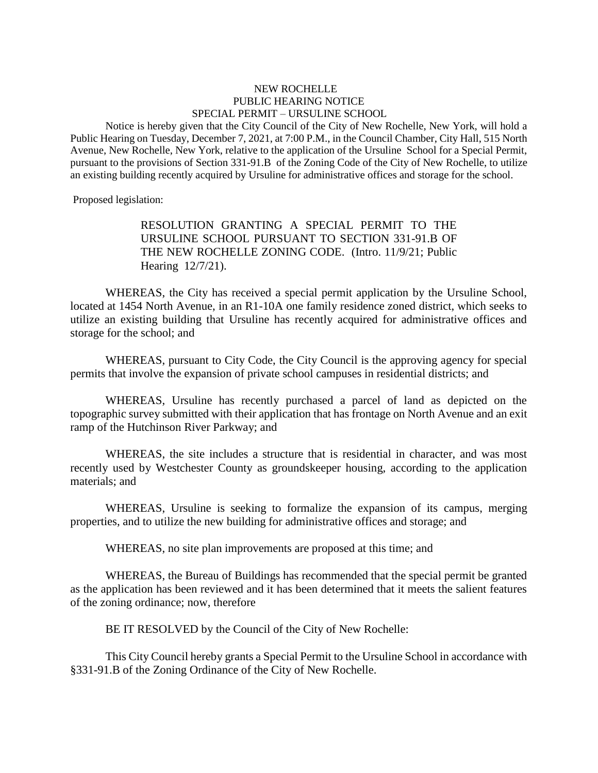## NEW ROCHELLE PUBLIC HEARING NOTICE SPECIAL PERMIT – URSULINE SCHOOL

Notice is hereby given that the City Council of the City of New Rochelle, New York, will hold a Public Hearing on Tuesday, December 7, 2021, at 7:00 P.M., in the Council Chamber, City Hall, 515 North Avenue, New Rochelle, New York, relative to the application of the Ursuline School for a Special Permit, pursuant to the provisions of Section 331-91.B of the Zoning Code of the City of New Rochelle, to utilize an existing building recently acquired by Ursuline for administrative offices and storage for the school.

Proposed legislation:

RESOLUTION GRANTING A SPECIAL PERMIT TO THE URSULINE SCHOOL PURSUANT TO SECTION 331-91.B OF THE NEW ROCHELLE ZONING CODE. (Intro. 11/9/21; Public Hearing 12/7/21).

WHEREAS, the City has received a special permit application by the Ursuline School, located at 1454 North Avenue, in an R1-10A one family residence zoned district, which seeks to utilize an existing building that Ursuline has recently acquired for administrative offices and storage for the school; and

WHEREAS, pursuant to City Code, the City Council is the approving agency for special permits that involve the expansion of private school campuses in residential districts; and

WHEREAS, Ursuline has recently purchased a parcel of land as depicted on the topographic survey submitted with their application that has frontage on North Avenue and an exit ramp of the Hutchinson River Parkway; and

WHEREAS, the site includes a structure that is residential in character, and was most recently used by Westchester County as groundskeeper housing, according to the application materials; and

WHEREAS, Ursuline is seeking to formalize the expansion of its campus, merging properties, and to utilize the new building for administrative offices and storage; and

WHEREAS, no site plan improvements are proposed at this time; and

WHEREAS, the Bureau of Buildings has recommended that the special permit be granted as the application has been reviewed and it has been determined that it meets the salient features of the zoning ordinance; now, therefore

BE IT RESOLVED by the Council of the City of New Rochelle:

This City Council hereby grants a Special Permit to the Ursuline School in accordance with §331-91.B of the Zoning Ordinance of the City of New Rochelle.